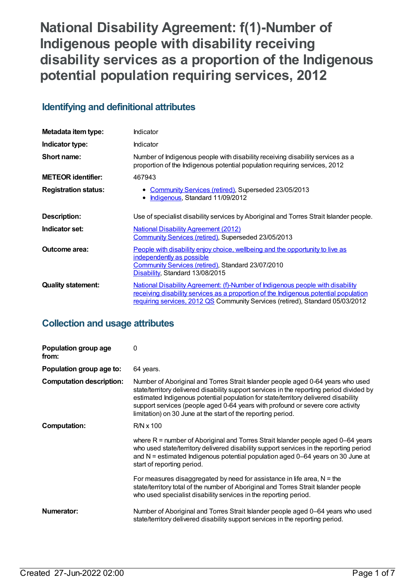# **National Disability Agreement: f(1)-Number of Indigenous people with disability receiving disability services as a proportion of the Indigenous potential population requiring services, 2012**

## **Identifying and definitional attributes**

| Metadata item type:         | Indicator                                                                                                                                                                                                                                               |
|-----------------------------|---------------------------------------------------------------------------------------------------------------------------------------------------------------------------------------------------------------------------------------------------------|
| Indicator type:             | Indicator                                                                                                                                                                                                                                               |
| Short name:                 | Number of Indigenous people with disability receiving disability services as a<br>proportion of the Indigenous potential population requiring services, 2012                                                                                            |
| <b>METEOR identifier:</b>   | 467943                                                                                                                                                                                                                                                  |
| <b>Registration status:</b> | Community Services (retired), Superseded 23/05/2013<br>• Indigenous, Standard 11/09/2012                                                                                                                                                                |
| Description:                | Use of specialist disability services by Aboriginal and Torres Strait Islander people.                                                                                                                                                                  |
| Indicator set:              | <b>National Disability Agreement (2012)</b><br>Community Services (retired), Superseded 23/05/2013                                                                                                                                                      |
| Outcome area:               | People with disability enjoy choice, wellbeing and the opportunity to live as<br>independently as possible<br><b>Community Services (retired), Standard 23/07/2010</b><br>Disability, Standard 13/08/2015                                               |
| <b>Quality statement:</b>   | National Disability Agreement: (f)-Number of Indigenous people with disability<br>receiving disability services as a proportion of the Indigenous potential population<br>requiring services, 2012 QS Community Services (retired), Standard 05/03/2012 |

## **Collection and usage attributes**

| Population group age<br>from:   | 0                                                                                                                                                                                                                                                                                                                                                                                                                   |
|---------------------------------|---------------------------------------------------------------------------------------------------------------------------------------------------------------------------------------------------------------------------------------------------------------------------------------------------------------------------------------------------------------------------------------------------------------------|
| Population group age to:        | 64 years.                                                                                                                                                                                                                                                                                                                                                                                                           |
| <b>Computation description:</b> | Number of Aboriginal and Torres Strait Islander people aged 0-64 years who used<br>state/territory delivered disability support services in the reporting period divided by<br>estimated Indigenous potential population for state/territory delivered disability<br>support services (people aged 0-64 years with profound or severe core activity<br>limitation) on 30 June at the start of the reporting period. |
| <b>Computation:</b>             | $R/N \times 100$                                                                                                                                                                                                                                                                                                                                                                                                    |
|                                 | where $R =$ number of Aboriginal and Torres Strait Islander people aged 0–64 years<br>who used state/territory delivered disability support services in the reporting period<br>and N = estimated Indigenous potential population aged 0-64 years on 30 June at<br>start of reporting period.                                                                                                                       |
|                                 | For measures disaggregated by need for assistance in life area, $N =$ the<br>state/territory total of the number of Aboriginal and Torres Strait Islander people<br>who used specialist disability services in the reporting period.                                                                                                                                                                                |
| Numerator:                      | Number of Aboriginal and Torres Strait Islander people aged 0–64 years who used<br>state/territory delivered disability support services in the reporting period.                                                                                                                                                                                                                                                   |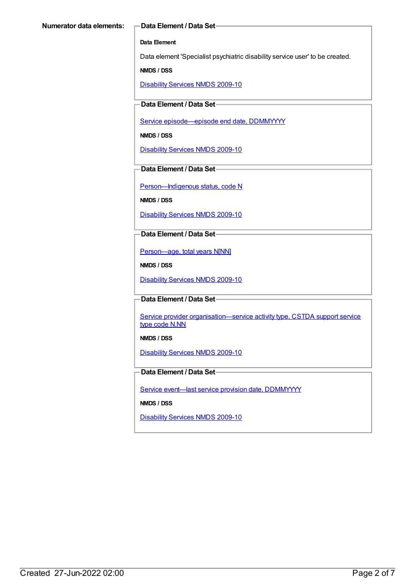#### **Data Element**

Data element 'Specialist psychiatric disability service user' to be created.

**NMDS / DSS**

[Disability](https://meteor.aihw.gov.au/content/386485) Services NMDS 2009-10

#### **Data Element / Data Set**

Service [episode—episode](https://meteor.aihw.gov.au/content/270160) end date, DDMMYYYY

**NMDS / DSS**

[Disability](https://meteor.aihw.gov.au/content/386485) Services NMDS 2009-10

#### **Data Element / Data Set**

Person-Indigenous status, code N

**NMDS / DSS**

[Disability](https://meteor.aihw.gov.au/content/386485) Services NMDS 2009-10

#### **Data Element / Data Set**

[Person—age,](https://meteor.aihw.gov.au/content/303794) total years N[NN]

**NMDS / DSS**

[Disability](https://meteor.aihw.gov.au/content/386485) Services NMDS 2009-10

#### **Data Element / Data Set**

Service provider organisation-service activity type, CSTDA support service type code N.NN

**NMDS / DSS**

[Disability](https://meteor.aihw.gov.au/content/386485) Services NMDS 2009-10

#### **Data Element / Data Set**

Service event-last service provision date, [DDMMYYYY](https://meteor.aihw.gov.au/content/323253)

**NMDS / DSS**

[Disability](https://meteor.aihw.gov.au/content/386485) Services NMDS 2009-10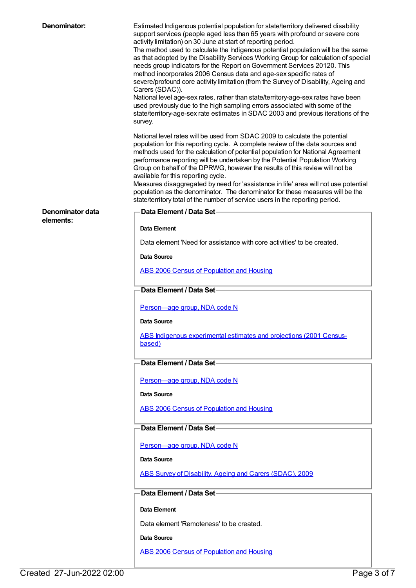| Denominator:                  | Estimated Indigenous potential population for state/territory delivered disability<br>support services (people aged less than 65 years with profound or severe core<br>activity limitation) on 30 June at start of reporting period.<br>The method used to calculate the Indigenous potential population will be the same<br>as that adopted by the Disability Services Working Group for calculation of special<br>needs group indicators for the Report on Government Services 20120. This<br>method incorporates 2006 Census data and age-sex specific rates of<br>severe/profound core activity limitation (from the Survey of Disability, Ageing and<br>Carers (SDAC)).<br>National level age-sex rates, rather than state/territory-age-sex rates have been<br>used previously due to the high sampling errors associated with some of the<br>state/territory-age-sex rate estimates in SDAC 2003 and previous iterations of the<br>survey.<br>National level rates will be used from SDAC 2009 to calculate the potential<br>population for this reporting cycle. A complete review of the data sources and<br>methods used for the calculation of potential population for National Agreement<br>performance reporting will be undertaken by the Potential Population Working<br>Group on behalf of the DPRWG, however the results of this review will not be<br>available for this reporting cycle.<br>Measures disaggregated by need for 'assistance in life' area will not use potential |
|-------------------------------|-----------------------------------------------------------------------------------------------------------------------------------------------------------------------------------------------------------------------------------------------------------------------------------------------------------------------------------------------------------------------------------------------------------------------------------------------------------------------------------------------------------------------------------------------------------------------------------------------------------------------------------------------------------------------------------------------------------------------------------------------------------------------------------------------------------------------------------------------------------------------------------------------------------------------------------------------------------------------------------------------------------------------------------------------------------------------------------------------------------------------------------------------------------------------------------------------------------------------------------------------------------------------------------------------------------------------------------------------------------------------------------------------------------------------------------------------------------------------------------------------------|
|                               | population as the denominator. The denominator for these measures will be the<br>state/territory total of the number of service users in the reporting period.                                                                                                                                                                                                                                                                                                                                                                                                                                                                                                                                                                                                                                                                                                                                                                                                                                                                                                                                                                                                                                                                                                                                                                                                                                                                                                                                      |
| Denominator data<br>elements: | <b>Data Element / Data Set-</b>                                                                                                                                                                                                                                                                                                                                                                                                                                                                                                                                                                                                                                                                                                                                                                                                                                                                                                                                                                                                                                                                                                                                                                                                                                                                                                                                                                                                                                                                     |
|                               | Data Element                                                                                                                                                                                                                                                                                                                                                                                                                                                                                                                                                                                                                                                                                                                                                                                                                                                                                                                                                                                                                                                                                                                                                                                                                                                                                                                                                                                                                                                                                        |
|                               | Data element 'Need for assistance with core activities' to be created.                                                                                                                                                                                                                                                                                                                                                                                                                                                                                                                                                                                                                                                                                                                                                                                                                                                                                                                                                                                                                                                                                                                                                                                                                                                                                                                                                                                                                              |
|                               | Data Source                                                                                                                                                                                                                                                                                                                                                                                                                                                                                                                                                                                                                                                                                                                                                                                                                                                                                                                                                                                                                                                                                                                                                                                                                                                                                                                                                                                                                                                                                         |
|                               | <b>ABS 2006 Census of Population and Housing</b>                                                                                                                                                                                                                                                                                                                                                                                                                                                                                                                                                                                                                                                                                                                                                                                                                                                                                                                                                                                                                                                                                                                                                                                                                                                                                                                                                                                                                                                    |
|                               | Data Element / Data Set-                                                                                                                                                                                                                                                                                                                                                                                                                                                                                                                                                                                                                                                                                                                                                                                                                                                                                                                                                                                                                                                                                                                                                                                                                                                                                                                                                                                                                                                                            |
|                               | Person-age group, NDA code N                                                                                                                                                                                                                                                                                                                                                                                                                                                                                                                                                                                                                                                                                                                                                                                                                                                                                                                                                                                                                                                                                                                                                                                                                                                                                                                                                                                                                                                                        |
|                               | Data Source                                                                                                                                                                                                                                                                                                                                                                                                                                                                                                                                                                                                                                                                                                                                                                                                                                                                                                                                                                                                                                                                                                                                                                                                                                                                                                                                                                                                                                                                                         |
|                               | ABS Indigenous experimental estimates and projections (2001 Census-<br>based)                                                                                                                                                                                                                                                                                                                                                                                                                                                                                                                                                                                                                                                                                                                                                                                                                                                                                                                                                                                                                                                                                                                                                                                                                                                                                                                                                                                                                       |
|                               | Data Element / Data Set-                                                                                                                                                                                                                                                                                                                                                                                                                                                                                                                                                                                                                                                                                                                                                                                                                                                                                                                                                                                                                                                                                                                                                                                                                                                                                                                                                                                                                                                                            |
|                               | Person-age group, NDA code N                                                                                                                                                                                                                                                                                                                                                                                                                                                                                                                                                                                                                                                                                                                                                                                                                                                                                                                                                                                                                                                                                                                                                                                                                                                                                                                                                                                                                                                                        |
|                               | Data Source                                                                                                                                                                                                                                                                                                                                                                                                                                                                                                                                                                                                                                                                                                                                                                                                                                                                                                                                                                                                                                                                                                                                                                                                                                                                                                                                                                                                                                                                                         |
|                               | <b>ABS 2006 Census of Population and Housing</b>                                                                                                                                                                                                                                                                                                                                                                                                                                                                                                                                                                                                                                                                                                                                                                                                                                                                                                                                                                                                                                                                                                                                                                                                                                                                                                                                                                                                                                                    |
|                               | Data Element / Data Set-                                                                                                                                                                                                                                                                                                                                                                                                                                                                                                                                                                                                                                                                                                                                                                                                                                                                                                                                                                                                                                                                                                                                                                                                                                                                                                                                                                                                                                                                            |
|                               | Person-age group, NDA code N                                                                                                                                                                                                                                                                                                                                                                                                                                                                                                                                                                                                                                                                                                                                                                                                                                                                                                                                                                                                                                                                                                                                                                                                                                                                                                                                                                                                                                                                        |
|                               | Data Source                                                                                                                                                                                                                                                                                                                                                                                                                                                                                                                                                                                                                                                                                                                                                                                                                                                                                                                                                                                                                                                                                                                                                                                                                                                                                                                                                                                                                                                                                         |
|                               | ABS Survey of Disability, Ageing and Carers (SDAC), 2009                                                                                                                                                                                                                                                                                                                                                                                                                                                                                                                                                                                                                                                                                                                                                                                                                                                                                                                                                                                                                                                                                                                                                                                                                                                                                                                                                                                                                                            |
|                               | Data Element / Data Set-                                                                                                                                                                                                                                                                                                                                                                                                                                                                                                                                                                                                                                                                                                                                                                                                                                                                                                                                                                                                                                                                                                                                                                                                                                                                                                                                                                                                                                                                            |
|                               | Data Element                                                                                                                                                                                                                                                                                                                                                                                                                                                                                                                                                                                                                                                                                                                                                                                                                                                                                                                                                                                                                                                                                                                                                                                                                                                                                                                                                                                                                                                                                        |
|                               | Data element 'Remoteness' to be created.                                                                                                                                                                                                                                                                                                                                                                                                                                                                                                                                                                                                                                                                                                                                                                                                                                                                                                                                                                                                                                                                                                                                                                                                                                                                                                                                                                                                                                                            |
|                               | Data Source                                                                                                                                                                                                                                                                                                                                                                                                                                                                                                                                                                                                                                                                                                                                                                                                                                                                                                                                                                                                                                                                                                                                                                                                                                                                                                                                                                                                                                                                                         |
|                               | <b>ABS 2006 Census of Population and Housing</b>                                                                                                                                                                                                                                                                                                                                                                                                                                                                                                                                                                                                                                                                                                                                                                                                                                                                                                                                                                                                                                                                                                                                                                                                                                                                                                                                                                                                                                                    |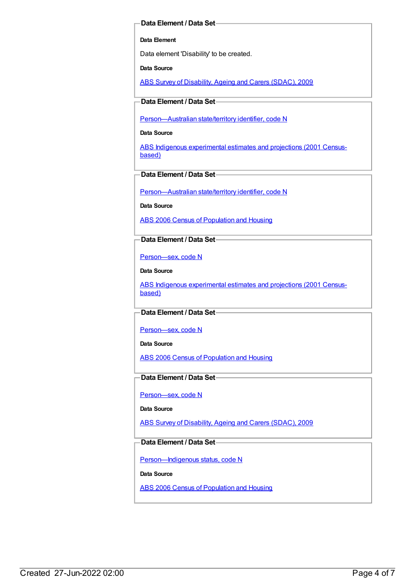#### **Data Element / Data Set**

#### **Data Element**

Data element 'Disability' to be created.

**Data Source**

ABS Survey of [Disability,](https://meteor.aihw.gov.au/content/445288) Ageing and Carers (SDAC), 2009

#### **Data Element / Data Set**

[Person—Australian](https://meteor.aihw.gov.au/content/286919) state/territory identifier, code N

**Data Source**

ABS Indigenous [experimental](https://meteor.aihw.gov.au/content/394092) estimates and projections (2001 Censusbased)

#### **Data Element / Data Set**

[Person—Australian](https://meteor.aihw.gov.au/content/286919) state/territory identifier, code N

**Data Source**

ABS 2006 Census of [Population](https://meteor.aihw.gov.au/content/394447) and Housing

#### **Data Element / Data Set**

[Person—sex,](https://meteor.aihw.gov.au/content/287316) code N

**Data Source**

ABS Indigenous [experimental](https://meteor.aihw.gov.au/content/394092) estimates and projections (2001 Censusbased)

#### **Data Element / Data Set**

[Person—sex,](https://meteor.aihw.gov.au/content/287316) code N

**Data Source**

ABS 2006 Census of [Population](https://meteor.aihw.gov.au/content/394447) and Housing

#### **Data Element / Data Set**

[Person—sex,](https://meteor.aihw.gov.au/content/287316) code N

#### **Data Source**

ABS Survey of [Disability,](https://meteor.aihw.gov.au/content/445288) Ageing and Carers (SDAC), 2009

#### **Data Element / Data Set**

Person-Indigenous status, code N

**Data Source**

ABS 2006 Census of [Population](https://meteor.aihw.gov.au/content/394447) and Housing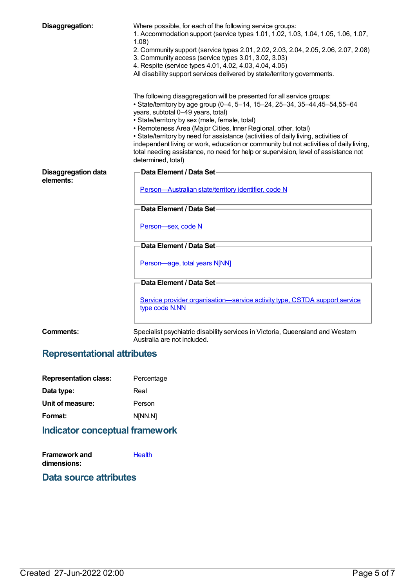| Disaggregation:                         | Where possible, for each of the following service groups:<br>1. Accommodation support (service types 1.01, 1.02, 1.03, 1.04, 1.05, 1.06, 1.07,<br>1.08)<br>2. Community support (service types 2.01, 2.02, 2.03, 2.04, 2.05, 2.06, 2.07, 2.08)<br>3. Community access (service types 3.01, 3.02, 3.03)<br>4. Respite (service types 4.01, 4.02, 4.03, 4.04, 4.05)<br>All disability support services delivered by state/territory governments.<br>The following disaggregation will be presented for all service groups:<br>• State/territory by age group (0-4, 5-14, 15-24, 25-34, 35-44, 45-54, 55-64 |
|-----------------------------------------|----------------------------------------------------------------------------------------------------------------------------------------------------------------------------------------------------------------------------------------------------------------------------------------------------------------------------------------------------------------------------------------------------------------------------------------------------------------------------------------------------------------------------------------------------------------------------------------------------------|
|                                         | years, subtotal 0-49 years, total)<br>• State/territory by sex (male, female, total)<br>• Remoteness Area (Major Cities, Inner Regional, other, total)<br>• State/territory by need for assistance (activities of daily living, activities of<br>independent living or work, education or community but not activities of daily living,<br>total needing assistance, no need for help or supervision, level of assistance not<br>determined, total)                                                                                                                                                      |
| <b>Disaggregation data</b><br>elements: | Data Element / Data Set<br>Person-Australian state/territory identifier, code N                                                                                                                                                                                                                                                                                                                                                                                                                                                                                                                          |
|                                         | Data Element / Data Set-                                                                                                                                                                                                                                                                                                                                                                                                                                                                                                                                                                                 |
|                                         | Person-sex, code N                                                                                                                                                                                                                                                                                                                                                                                                                                                                                                                                                                                       |
|                                         | Data Element / Data Set-                                                                                                                                                                                                                                                                                                                                                                                                                                                                                                                                                                                 |
|                                         | Person-age, total years N[NN]                                                                                                                                                                                                                                                                                                                                                                                                                                                                                                                                                                            |
|                                         | Data Element / Data Set-                                                                                                                                                                                                                                                                                                                                                                                                                                                                                                                                                                                 |
|                                         | Service provider organisation-service activity type, CSTDA support service<br>type code N.NN                                                                                                                                                                                                                                                                                                                                                                                                                                                                                                             |
|                                         |                                                                                                                                                                                                                                                                                                                                                                                                                                                                                                                                                                                                          |

**Comments:** Specialist psychiatric disability services in Victoria, Queensland and Western Australia are not included.

## **Representational attributes**

| <b>Representation class:</b> | Percentage |
|------------------------------|------------|
| Data type:                   | Real       |
| Unit of measure:             | Person     |
| Format:                      | N[NN.N]    |
|                              |            |

## **Indicator conceptual framework**

| Framework and | Health |
|---------------|--------|
| dimensions:   |        |

## **Data source attributes**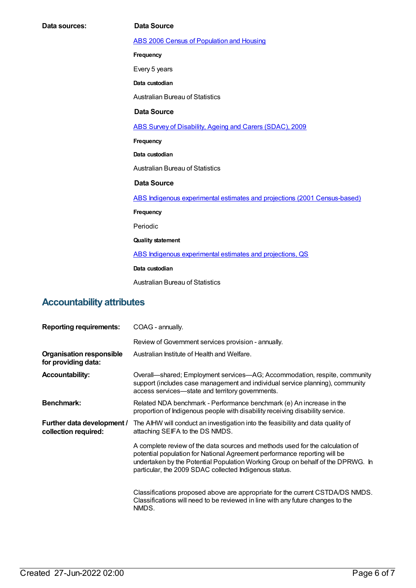**Data sources: Data Source** ABS 2006 Census of [Population](https://meteor.aihw.gov.au/content/394447) and Housing **Frequency** Every 5 years **Data custodian** Australian Bureau of Statistics **Data Source** ABS Survey of [Disability,](https://meteor.aihw.gov.au/content/445288) Ageing and Carers (SDAC), 2009 **Frequency Data custodian** Australian Bureau of Statistics **Data Source** ABS Indigenous experimental estimates and projections (2001 [Census-based\)](https://meteor.aihw.gov.au/content/394092) **Frequency** Periodic **Quality statement** ABS Indigenous [experimental](https://meteor.aihw.gov.au/content/449223) estimates and projections, QS **Data custodian** Australian Bureau of Statistics **Accountability attributes**

| <b>Reporting requirements:</b>                         | COAG - annually.                                                                                                                                                                                                                                                                                        |
|--------------------------------------------------------|---------------------------------------------------------------------------------------------------------------------------------------------------------------------------------------------------------------------------------------------------------------------------------------------------------|
|                                                        | Review of Government services provision - annually.                                                                                                                                                                                                                                                     |
| <b>Organisation responsible</b><br>for providing data: | Australian Institute of Health and Welfare.                                                                                                                                                                                                                                                             |
| <b>Accountability:</b>                                 | Overall—shared; Employment services—AG; Accommodation, respite, community<br>support (includes case management and individual service planning), community<br>access services—state and territory governments.                                                                                          |
| <b>Benchmark:</b>                                      | Related NDA benchmark - Performance benchmark (e) An increase in the<br>proportion of Indigenous people with disability receiving disability service.                                                                                                                                                   |
| Further data development /<br>collection required:     | The AIHW will conduct an investigation into the feasibility and data quality of<br>attaching SEIFA to the DS NMDS.                                                                                                                                                                                      |
|                                                        | A complete review of the data sources and methods used for the calculation of<br>potential population for National Agreement performance reporting will be<br>undertaken by the Potential Population Working Group on behalf of the DPRWG. In<br>particular, the 2009 SDAC collected Indigenous status. |
|                                                        | Classifications proposed above are appropriate for the current CSTDA/DS NMDS.<br>Classifications will need to be reviewed in line with any future changes to the<br>NMDS.                                                                                                                               |